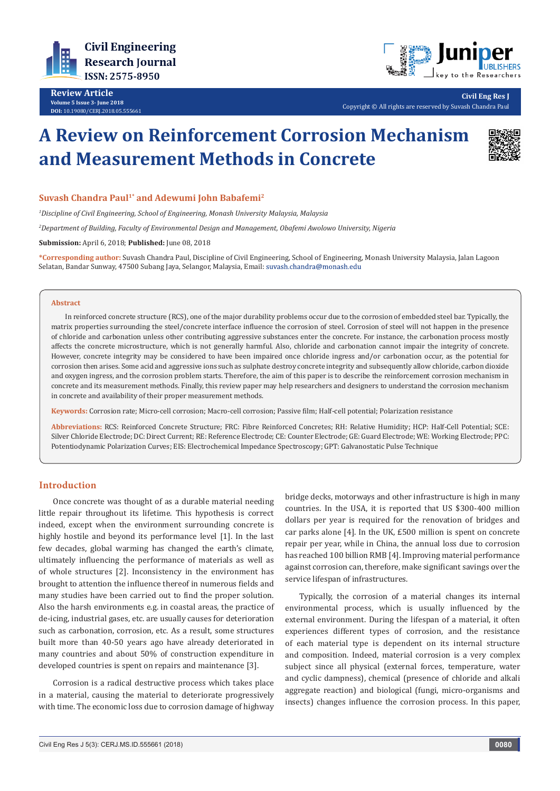



**Civil Eng Res J**

Copyright © All rights are reserved by Suvash Chandra Paul

# **A Review on Reinforcement Corrosion Mechanism and Measurement Methods in Concrete**



# Suvash Chandra Paul<sup>1\*</sup> and Adewumi John Babafemi<sup>2</sup>

*1 Discipline of Civil Engineering, School of Engineering, Monash University Malaysia, Malaysia*

*2 Department of Building, Faculty of Environmental Design and Management, Obafemi Awolowo University, Nigeria*

**Submission:** April 6, 2018; **Published:** June 08, 2018

**\*Corresponding author:** Suvash Chandra Paul, Discipline of Civil Engineering, School of Engineering, Monash University Malaysia, Jalan Lagoon Selatan, Bandar Sunway, 47500 Subang Jaya, Selangor, Malaysia, Email:

#### **Abstract**

In reinforced concrete structure (RCS), one of the major durability problems occur due to the corrosion of embedded steel bar. Typically, the matrix properties surrounding the steel/concrete interface influence the corrosion of steel. Corrosion of steel will not happen in the presence of chloride and carbonation unless other contributing aggressive substances enter the concrete. For instance, the carbonation process mostly affects the concrete microstructure, which is not generally harmful. Also, chloride and carbonation cannot impair the integrity of concrete. However, concrete integrity may be considered to have been impaired once chloride ingress and/or carbonation occur, as the potential for corrosion then arises. Some acid and aggressive ions such as sulphate destroy concrete integrity and subsequently allow chloride, carbon dioxide and oxygen ingress, and the corrosion problem starts. Therefore, the aim of this paper is to describe the reinforcement corrosion mechanism in concrete and its measurement methods. Finally, this review paper may help researchers and designers to understand the corrosion mechanism in concrete and availability of their proper measurement methods.

**Keywords:** Corrosion rate; Micro-cell corrosion; Macro-cell corrosion; Passive film; Half-cell potential; Polarization resistance

**Abbreviations:** RCS: Reinforced Concrete Structure; FRC: Fibre Reinforced Concretes; RH: Relative Humidity; HCP: Half-Cell Potential; SCE: Silver Chloride Electrode; DC: Direct Current; RE: Reference Electrode; CE: Counter Electrode; GE: Guard Electrode; WE: Working Electrode; PPC: Potentiodynamic Polarization Curves; EIS: Electrochemical Impedance Spectroscopy; GPT: Galvanostatic Pulse Technique

# **Introduction**

Once concrete was thought of as a durable material needing little repair throughout its lifetime. This hypothesis is correct indeed, except when the environment surrounding concrete is highly hostile and beyond its performance level [1]. In the last few decades, global warming has changed the earth's climate, ultimately influencing the performance of materials as well as of whole structures [2]. Inconsistency in the environment has brought to attention the influence thereof in numerous fields and many studies have been carried out to find the proper solution. Also the harsh environments e.g. in coastal areas, the practice of de-icing, industrial gases, etc. are usually causes for deterioration such as carbonation, corrosion, etc. As a result, some structures built more than 40-50 years ago have already deteriorated in many countries and about 50% of construction expenditure in developed countries is spent on repairs and maintenance [3].

Corrosion is a radical destructive process which takes place in a material, causing the material to deteriorate progressively with time. The economic loss due to corrosion damage of highway

bridge decks, motorways and other infrastructure is high in many countries. In the USA, it is reported that US \$300-400 million dollars per year is required for the renovation of bridges and car parks alone [4]. In the UK, £500 million is spent on concrete repair per year, while in China, the annual loss due to corrosion has reached 100 billion RMB [4]. Improving material performance against corrosion can, therefore, make significant savings over the service lifespan of infrastructures.

Typically, the corrosion of a material changes its internal environmental process, which is usually influenced by the external environment. During the lifespan of a material, it often experiences different types of corrosion, and the resistance of each material type is dependent on its internal structure and composition. Indeed, material corrosion is a very complex subject since all physical (external forces, temperature, water and cyclic dampness), chemical (presence of chloride and alkali aggregate reaction) and biological (fungi, micro-organisms and insects) changes influence the corrosion process. In this paper,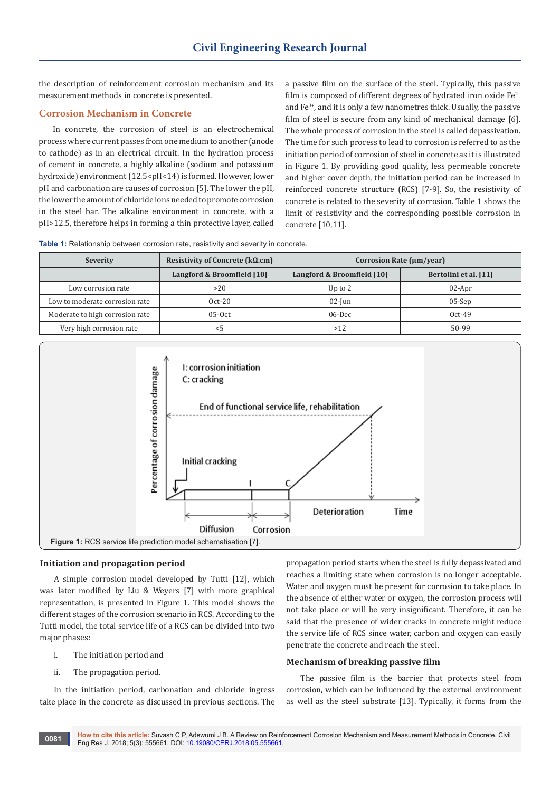the description of reinforcement corrosion mechanism and its measurement methods in concrete is presented.

# **Corrosion Mechanism in Concrete**

In concrete, the corrosion of steel is an electrochemical process where current passes from one medium to another (anode to cathode) as in an electrical circuit. In the hydration process of cement in concrete, a highly alkaline (sodium and potassium hydroxide) environment (12.5<pH<14) is formed. However, lower pH and carbonation are causes of corrosion [5]. The lower the pH, the lower the amount of chloride ions needed to promote corrosion in the steel bar. The alkaline environment in concrete, with a pH>12.5, therefore helps in forming a thin protective layer, called

a passive film on the surface of the steel. Typically, this passive film is composed of different degrees of hydrated iron oxide  $Fe^{2+}$ and Fe3+, and it is only a few nanometres thick. Usually, the passive film of steel is secure from any kind of mechanical damage [6]. The whole process of corrosion in the steel is called depassivation. The time for such process to lead to corrosion is referred to as the initiation period of corrosion of steel in concrete as it is illustrated in Figure 1. By providing good quality, less permeable concrete and higher cover depth, the initiation period can be increased in reinforced concrete structure (RCS) [7-9]. So, the resistivity of concrete is related to the severity of corrosion. Table 1 shows the limit of resistivity and the corresponding possible corrosion in concrete [10,11].

**Table 1:** Relationship between corrosion rate, resistivity and severity in concrete.

| Severity                        | Resistivity of Concrete ( $k\Omega$ .cm) | Corrosion Rate (µm/year)   |                       |
|---------------------------------|------------------------------------------|----------------------------|-----------------------|
|                                 | Langford & Broomfield [10]               | Langford & Broomfield [10] | Bertolini et al. [11] |
| Low corrosion rate              | >20                                      | Up to $2$                  | $02$ -Apr             |
| Low to moderate corrosion rate  | $Oct-20$                                 | $02$ -Jun                  | $05-Sep$              |
| Moderate to high corrosion rate | $05-0ct$                                 | $06$ -Dec                  | $0ct-49$              |
| Very high corrosion rate        | < 5                                      | >12                        | 50-99                 |



#### **Initiation and propagation period**

A simple corrosion model developed by Tutti [12], which was later modified by Liu & Weyers [7] with more graphical representation, is presented in Figure 1. This model shows the different stages of the corrosion scenario in RCS. According to the Tutti model, the total service life of a RCS can be divided into two major phases:

- i. The initiation period and
- ii. The propagation period.

In the initiation period, carbonation and chloride ingress take place in the concrete as discussed in previous sections. The

propagation period starts when the steel is fully depassivated and reaches a limiting state when corrosion is no longer acceptable. Water and oxygen must be present for corrosion to take place. In the absence of either water or oxygen, the corrosion process will not take place or will be very insignificant. Therefore, it can be said that the presence of wider cracks in concrete might reduce the service life of RCS since water, carbon and oxygen can easily penetrate the concrete and reach the steel.

# **Mechanism of breaking passive film**

The passive film is the barrier that protects steel from corrosion, which can be influenced by the external environment as well as the steel substrate [13]. Typically, it forms from the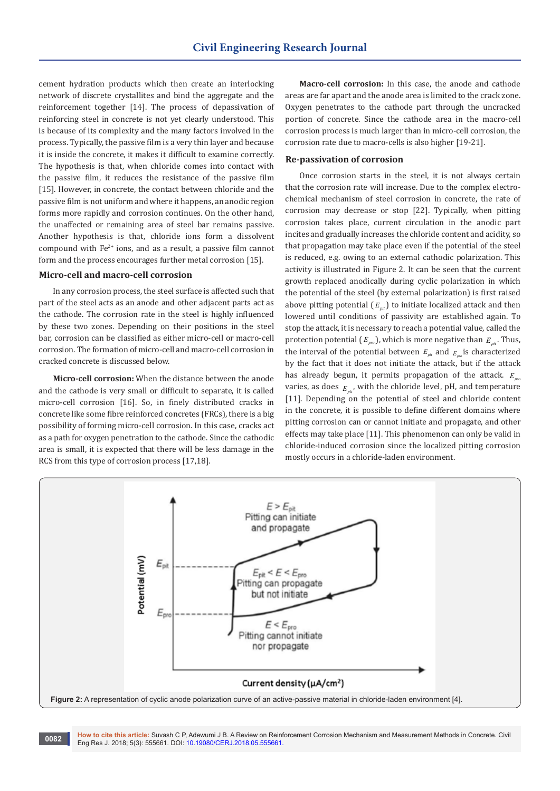cement hydration products which then create an interlocking network of discrete crystallites and bind the aggregate and the reinforcement together [14]. The process of depassivation of reinforcing steel in concrete is not yet clearly understood. This is because of its complexity and the many factors involved in the process. Typically, the passive film is a very thin layer and because it is inside the concrete, it makes it difficult to examine correctly. The hypothesis is that, when chloride comes into contact with the passive film, it reduces the resistance of the passive film [15]. However, in concrete, the contact between chloride and the passive film is not uniform and where it happens, an anodic region forms more rapidly and corrosion continues. On the other hand, the unaffected or remaining area of steel bar remains passive. Another hypothesis is that, chloride ions form a dissolvent compound with  $Fe<sup>2+</sup>$  ions, and as a result, a passive film cannot form and the process encourages further metal corrosion [15].

# **Micro-cell and macro-cell corrosion**

In any corrosion process, the steel surface is affected such that part of the steel acts as an anode and other adjacent parts act as the cathode. The corrosion rate in the steel is highly influenced by these two zones. Depending on their positions in the steel bar, corrosion can be classified as either micro-cell or macro-cell corrosion. The formation of micro-cell and macro-cell corrosion in cracked concrete is discussed below.

**Micro-cell corrosion:** When the distance between the anode and the cathode is very small or difficult to separate, it is called micro-cell corrosion [16]. So, in finely distributed cracks in concrete like some fibre reinforced concretes (FRCs), there is a big possibility of forming micro-cell corrosion. In this case, cracks act as a path for oxygen penetration to the cathode. Since the cathodic area is small, it is expected that there will be less damage in the RCS from this type of corrosion process [17,18].

**Macro-cell corrosion:** In this case, the anode and cathode areas are far apart and the anode area is limited to the crack zone. Oxygen penetrates to the cathode part through the uncracked portion of concrete. Since the cathode area in the macro-cell corrosion process is much larger than in micro-cell corrosion, the corrosion rate due to macro-cells is also higher [19-21].

#### **Re-passivation of corrosion**

Once corrosion starts in the steel, it is not always certain that the corrosion rate will increase. Due to the complex electrochemical mechanism of steel corrosion in concrete, the rate of corrosion may decrease or stop [22]. Typically, when pitting corrosion takes place, current circulation in the anodic part incites and gradually increases the chloride content and acidity, so that propagation may take place even if the potential of the steel is reduced, e.g. owing to an external cathodic polarization. This activity is illustrated in Figure 2. It can be seen that the current growth replaced anodically during cyclic polarization in which the potential of the steel (by external polarization) is first raised above pitting potential  $(E_n)$  to initiate localized attack and then lowered until conditions of passivity are established again. To stop the attack, it is necessary to reach a potential value, called the protection potential ( $E_{pro}$ ), which is more negative than  $E_{nr}$ . Thus, the interval of the potential between  $E_{pi}$  and  $E_{pi}$  is characterized by the fact that it does not initiate the attack, but if the attack has already begun, it permits propagation of the attack.  $E_{\text{max}}$ varies, as does  $E_{\mu\nu}$ , with the chloride level, pH, and temperature [11]. Depending on the potential of steel and chloride content in the concrete, it is possible to define different domains where pitting corrosion can or cannot initiate and propagate, and other effects may take place [11]. This phenomenon can only be valid in chloride-induced corrosion since the localized pitting corrosion mostly occurs in a chloride-laden environment.



**How to cite this article:** Suvash C P, Adewumi J B. A Review on Reinforcement Corrosion Mechanism and Measurement Methods in Concrete. Civil Eng Res J. 2018; 5(3): 555661. DOI: [10.19080/CERJ.2018.05.555661.](http://dx.doi.org/10.19080/CERJ.2018.05.555661) **<sup>0082</sup>**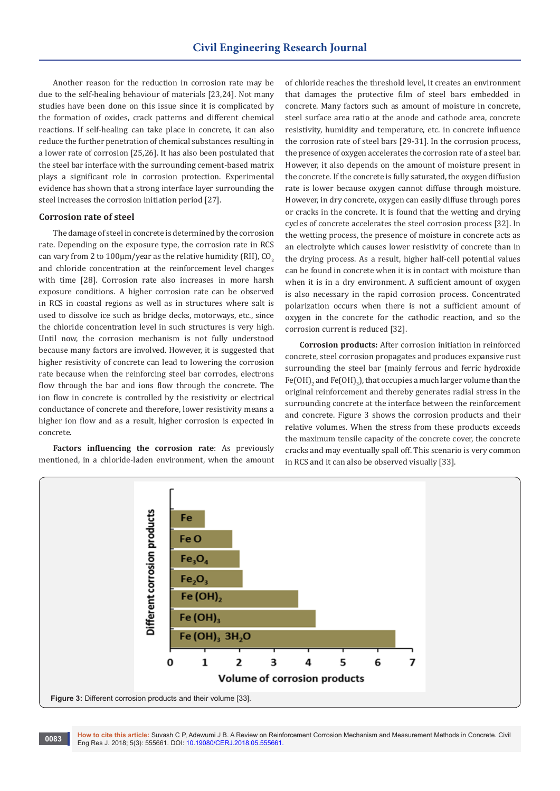Another reason for the reduction in corrosion rate may be due to the self-healing behaviour of materials [23,24]. Not many studies have been done on this issue since it is complicated by the formation of oxides, crack patterns and different chemical reactions. If self-healing can take place in concrete, it can also reduce the further penetration of chemical substances resulting in a lower rate of corrosion [25,26]. It has also been postulated that the steel bar interface with the surrounding cement-based matrix plays a significant role in corrosion protection. Experimental evidence has shown that a strong interface layer surrounding the steel increases the corrosion initiation period [27].

#### **Corrosion rate of steel**

The damage of steel in concrete is determined by the corrosion rate. Depending on the exposure type, the corrosion rate in RCS can vary from 2 to  $100 \mu m/year$  as the relative humidity (RH), CO<sub>2</sub> and chloride concentration at the reinforcement level changes with time [28]. Corrosion rate also increases in more harsh exposure conditions. A higher corrosion rate can be observed in RCS in coastal regions as well as in structures where salt is used to dissolve ice such as bridge decks, motorways, etc., since the chloride concentration level in such structures is very high. Until now, the corrosion mechanism is not fully understood because many factors are involved. However, it is suggested that higher resistivity of concrete can lead to lowering the corrosion rate because when the reinforcing steel bar corrodes, electrons flow through the bar and ions flow through the concrete. The ion flow in concrete is controlled by the resistivity or electrical conductance of concrete and therefore, lower resistivity means a higher ion flow and as a result, higher corrosion is expected in concrete.

**Factors influencing the corrosion rate**: As previously mentioned, in a chloride-laden environment, when the amount of chloride reaches the threshold level, it creates an environment that damages the protective film of steel bars embedded in concrete. Many factors such as amount of moisture in concrete, steel surface area ratio at the anode and cathode area, concrete resistivity, humidity and temperature, etc. in concrete influence the corrosion rate of steel bars [29-31]. In the corrosion process, the presence of oxygen accelerates the corrosion rate of a steel bar. However, it also depends on the amount of moisture present in the concrete. If the concrete is fully saturated, the oxygen diffusion rate is lower because oxygen cannot diffuse through moisture. However, in dry concrete, oxygen can easily diffuse through pores or cracks in the concrete. It is found that the wetting and drying cycles of concrete accelerates the steel corrosion process [32]. In the wetting process, the presence of moisture in concrete acts as an electrolyte which causes lower resistivity of concrete than in the drying process. As a result, higher half-cell potential values can be found in concrete when it is in contact with moisture than when it is in a dry environment. A sufficient amount of oxygen is also necessary in the rapid corrosion process. Concentrated polarization occurs when there is not a sufficient amount of oxygen in the concrete for the cathodic reaction, and so the corrosion current is reduced [32].

**Corrosion products:** After corrosion initiation in reinforced concrete, steel corrosion propagates and produces expansive rust surrounding the steel bar (mainly ferrous and ferric hydroxide Fe(OH) $_2$  and Fe(OH) $_3$ ), that occupies a much larger volume than the original reinforcement and thereby generates radial stress in the surrounding concrete at the interface between the reinforcement and concrete. Figure 3 shows the corrosion products and their relative volumes. When the stress from these products exceeds the maximum tensile capacity of the concrete cover, the concrete cracks and may eventually spall off. This scenario is very common in RCS and it can also be observed visually [33].



**How to cite this article:** Suvash C P, Adewumi J B. A Review on Reinforcement Corrosion Mechanism and Measurement Methods in Concrete. Civil **EDENT RESERVED CONSTRUSTED BY A SERVICE RES Eng Res J. 2018; 5(3): 555661. DOI: [10.19080/CERJ.2018.05.555661.](http://dx.doi.org/10.19080/CERJ.2018.05.555661) 0083**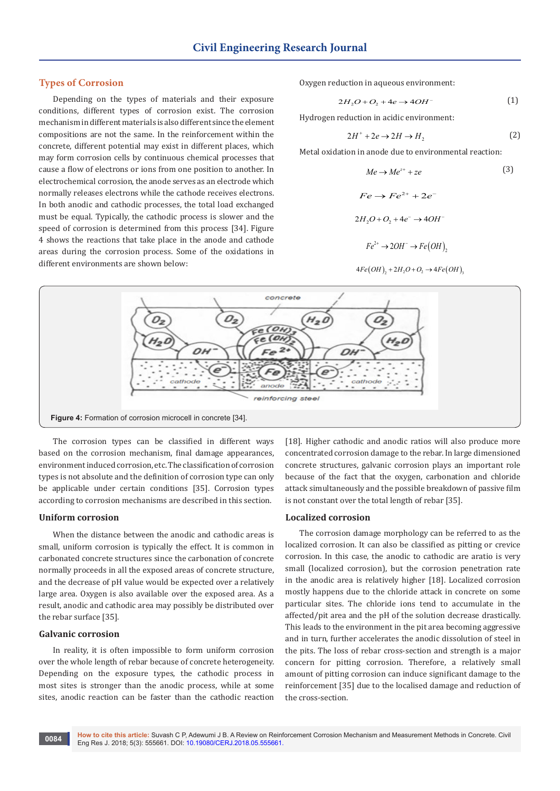# **Types of Corrosion**

Depending on the types of materials and their exposure conditions, different types of corrosion exist. The corrosion mechanism in different materials is also different since the element compositions are not the same. In the reinforcement within the concrete, different potential may exist in different places, which may form corrosion cells by continuous chemical processes that cause a flow of electrons or ions from one position to another. In electrochemical corrosion, the anode serves as an electrode which normally releases electrons while the cathode receives electrons. In both anodic and cathodic processes, the total load exchanged must be equal. Typically, the cathodic process is slower and the speed of corrosion is determined from this process [34]. Figure 4 shows the reactions that take place in the anode and cathode areas during the corrosion process. Some of the oxidations in different environments are shown below:

Oxygen reduction in aqueous environment:

$$
2H_2O + O_2 + 4e \rightarrow 4OH^-
$$
 (1)

Hydrogen reduction in acidic environment:

$$
2H^{+} + 2e \rightarrow 2H \rightarrow H_{2}
$$
 (2)

Metal oxidation in anode due to environmental reaction:

$$
Me \to Me^{z+} + ze
$$
\n
$$
Fe \to Fe^{2+} + 2e^-
$$
\n
$$
2H_2O + O_2 + 4e^- \to 4OH^-
$$
\n
$$
Fe^{2+} \to 2OH^- \to Fe(OH)_2
$$
\n
$$
(3)
$$

$$
4Fe(OH)_2 + 2H_2O + O_2 \rightarrow 4Fe(OH)_2
$$



The corrosion types can be classified in different ways based on the corrosion mechanism, final damage appearances, environment induced corrosion, etc. The classification of corrosion types is not absolute and the definition of corrosion type can only be applicable under certain conditions [35]. Corrosion types according to corrosion mechanisms are described in this section.

#### **Uniform corrosion**

When the distance between the anodic and cathodic areas is small, uniform corrosion is typically the effect. It is common in carbonated concrete structures since the carbonation of concrete normally proceeds in all the exposed areas of concrete structure, and the decrease of pH value would be expected over a relatively large area. Oxygen is also available over the exposed area. As a result, anodic and cathodic area may possibly be distributed over the rebar surface [35].

#### **Galvanic corrosion**

In reality, it is often impossible to form uniform corrosion over the whole length of rebar because of concrete heterogeneity. Depending on the exposure types, the cathodic process in most sites is stronger than the anodic process, while at some sites, anodic reaction can be faster than the cathodic reaction

[18]. Higher cathodic and anodic ratios will also produce more concentrated corrosion damage to the rebar. In large dimensioned concrete structures, galvanic corrosion plays an important role because of the fact that the oxygen, carbonation and chloride attack simultaneously and the possible breakdown of passive film is not constant over the total length of rebar [35].

#### **Localized corrosion**

The corrosion damage morphology can be referred to as the localized corrosion. It can also be classified as pitting or crevice corrosion. In this case, the anodic to cathodic are aratio is very small (localized corrosion), but the corrosion penetration rate in the anodic area is relatively higher [18]. Localized corrosion mostly happens due to the chloride attack in concrete on some particular sites. The chloride ions tend to accumulate in the affected/pit area and the pH of the solution decrease drastically. This leads to the environment in the pit area becoming aggressive and in turn, further accelerates the anodic dissolution of steel in the pits. The loss of rebar cross-section and strength is a major concern for pitting corrosion. Therefore, a relatively small amount of pitting corrosion can induce significant damage to the reinforcement [35] due to the localised damage and reduction of the cross-section.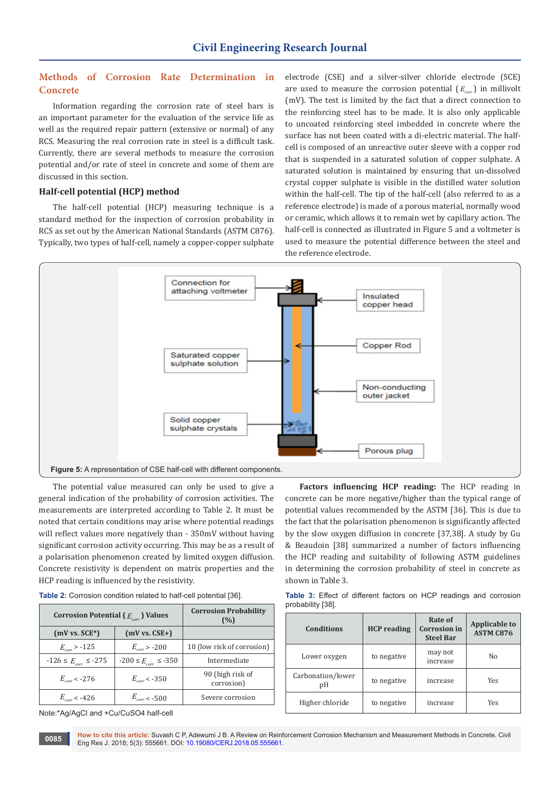# **Methods of Corrosion Rate Determination in Concrete**

Information regarding the corrosion rate of steel bars is an important parameter for the evaluation of the service life as well as the required repair pattern (extensive or normal) of any RCS. Measuring the real corrosion rate in steel is a difficult task. Currently, there are several methods to measure the corrosion potential and/or rate of steel in concrete and some of them are discussed in this section.

#### **Half-cell potential (HCP) method**

The half-cell potential (HCP) measuring technique is a standard method for the inspection of corrosion probability in RCS as set out by the American National Standards (ASTM C876). Typically, two types of half-cell, namely a copper-copper sulphate electrode (CSE) and a silver-silver chloride electrode (SCE) are used to measure the corrosion potential  $(E_{cor})$  in millivolt (mV). The test is limited by the fact that a direct connection to the reinforcing steel has to be made. It is also only applicable to uncoated reinforcing steel imbedded in concrete where the surface has not been coated with a di-electric material. The halfcell is composed of an unreactive outer sleeve with a copper rod that is suspended in a saturated solution of copper sulphate. A saturated solution is maintained by ensuring that un-dissolved crystal copper sulphate is visible in the distilled water solution within the half-cell. The tip of the half-cell (also referred to as a reference electrode) is made of a porous material, normally wood or ceramic, which allows it to remain wet by capillary action. The half-cell is connected as illustrated in Figure 5 and a voltmeter is used to measure the potential difference between the steel and the reference electrode.



The potential value measured can only be used to give a general indication of the probability of corrosion activities. The measurements are interpreted according to Table 2. It must be noted that certain conditions may arise where potential readings will reflect values more negatively than - 350mV without having significant corrosion activity occurring. This may be as a result of a polarisation phenomenon created by limited oxygen diffusion. Concrete resistivity is dependent on matrix properties and the HCP reading is influenced by the resistivity.

| Corrosion Potential ( $E_{cor}$ ) Values |                              | <b>Corrosion Probability</b><br>(%) |  |
|------------------------------------------|------------------------------|-------------------------------------|--|
| $(mV vs. SCE*)$                          | $(mV vs. CSE+ )$             |                                     |  |
| $E_{corr}$ > -125                        | $E_{corr} > -200$            | 10 (low risk of corrosion)          |  |
| $-126 \le E_{corr} \le -275$             | $-200 \le E_{corr} \le -350$ | Intermediate                        |  |
| $E_{corr}$ < -276                        | $E_{corr}$ < -350            | 90 (high risk of<br>corrosion)      |  |
| $E_{corr}$ < -426                        | $E_{corr}$ < -500            | Severe corrosion                    |  |

| Table 2: Corrosion condition related to half-cell potential [36]. |  |  |  |  |  |
|-------------------------------------------------------------------|--|--|--|--|--|
|-------------------------------------------------------------------|--|--|--|--|--|

Note:\*Ag/AgCl and +Cu/CuSO4 half-cell

**Factors influencing HCP reading:** The HCP reading in concrete can be more negative/higher than the typical range of potential values recommended by the ASTM [36]. This is due to the fact that the polarisation phenomenon is significantly affected by the slow oxygen diffusion in concrete [37,38]. A study by Gu & Beaudoin [38] summarized a number of factors influencing the HCP reading and suitability of following ASTM guidelines in determining the corrosion probability of steel in concrete as shown in Table 3.

**Table 3:** Effect of different factors on HCP readings and corrosion probability [38].

| <b>Conditions</b>       | <b>HCP</b> reading | Rate of<br><b>Corrosion</b> in<br><b>Steel Bar</b> | <b>Applicable to</b><br><b>ASTM C876</b> |
|-------------------------|--------------------|----------------------------------------------------|------------------------------------------|
| Lower oxygen            | to negative        | may not<br>increase                                | No                                       |
| Carbonation/lower<br>pH | to negative        | increase                                           | Yes                                      |
| Higher chloride         | to negative        | increase                                           | Yes                                      |

**How to cite this article:** Suvash C P, Adewumi J B. A Review on Reinforcement Corrosion Mechanism and Measurement Methods in Concrete. Civil Eng Res J. 2018; 5(3): 555661. DOI: [10.19080/CERJ.2018.05.555661.](http://dx.doi.org/10.19080/CERJ.2018.05.555661) **<sup>0085</sup>**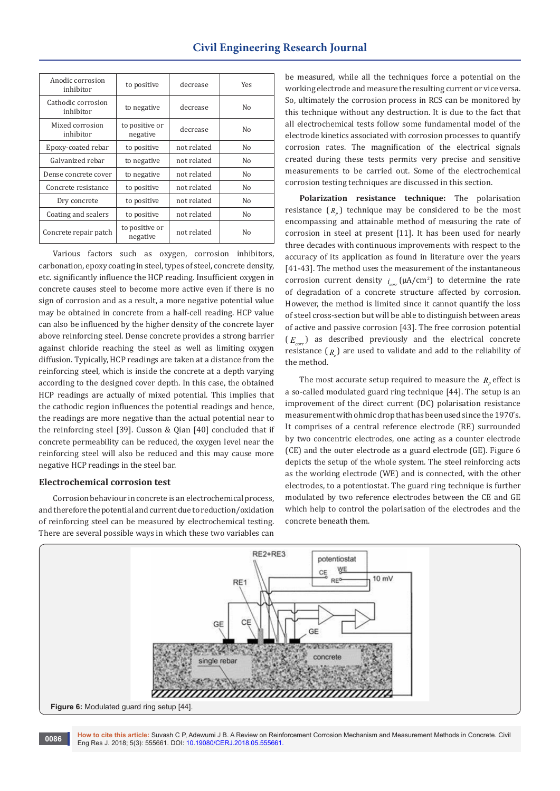| to positive                | decrease    | <b>Yes</b> |
|----------------------------|-------------|------------|
| to negative                | decrease    | No         |
| to positive or<br>negative | decrease    | No         |
| to positive                | not related | No         |
| to negative                | not related | No         |
| to negative                | not related | No         |
| to positive                | not related | No         |
| to positive                | not related | No         |
| to positive                | not related | No         |
| to positive or<br>negative | not related | No         |
|                            |             |            |

Various factors such as oxygen, corrosion inhibitors, carbonation, epoxy coating in steel, types of steel, concrete density, etc. significantly influence the HCP reading. Insufficient oxygen in concrete causes steel to become more active even if there is no sign of corrosion and as a result, a more negative potential value may be obtained in concrete from a half-cell reading. HCP value can also be influenced by the higher density of the concrete layer above reinforcing steel. Dense concrete provides a strong barrier against chloride reaching the steel as well as limiting oxygen diffusion. Typically, HCP readings are taken at a distance from the reinforcing steel, which is inside the concrete at a depth varying according to the designed cover depth. In this case, the obtained HCP readings are actually of mixed potential. This implies that the cathodic region influences the potential readings and hence, the readings are more negative than the actual potential near to the reinforcing steel [39]. Cusson & Qian [40] concluded that if concrete permeability can be reduced, the oxygen level near the reinforcing steel will also be reduced and this may cause more negative HCP readings in the steel bar.

#### **Electrochemical corrosion test**

Corrosion behaviour in concrete is an electrochemical process, and therefore the potential and current due to reduction/oxidation of reinforcing steel can be measured by electrochemical testing. There are several possible ways in which these two variables can be measured, while all the techniques force a potential on the working electrode and measure the resulting current or vice versa. So, ultimately the corrosion process in RCS can be monitored by this technique without any destruction. It is due to the fact that all electrochemical tests follow some fundamental model of the electrode kinetics associated with corrosion processes to quantify corrosion rates. The magnification of the electrical signals created during these tests permits very precise and sensitive measurements to be carried out. Some of the electrochemical corrosion testing techniques are discussed in this section.

**Polarization resistance technique:** The polarisation resistance  $(R_n)$  technique may be considered to be the most encompassing and attainable method of measuring the rate of corrosion in steel at present [11]. It has been used for nearly three decades with continuous improvements with respect to the accuracy of its application as found in literature over the years [41-43]. The method uses the measurement of the instantaneous corrosion current density  $i_{corr}$  ( $\mu$ A/cm<sup>2</sup>) to determine the rate of degradation of a concrete structure affected by corrosion. However, the method is limited since it cannot quantify the loss of steel cross-section but will be able to distinguish between areas of active and passive corrosion [43]. The free corrosion potential  $(E_{\text{max}})$  as described previously and the electrical concrete resistance ( $_{R_{e}}$ ) are used to validate and add to the reliability of the method.

The most accurate setup required to measure the  $R_p$  effect is a so-called modulated guard ring technique [44]. The setup is an improvement of the direct current (DC) polarisation resistance measurement with ohmic drop that has been used since the 1970's. It comprises of a central reference electrode (RE) surrounded by two concentric electrodes, one acting as a counter electrode (CE) and the outer electrode as a guard electrode (GE). Figure 6 depicts the setup of the whole system. The steel reinforcing acts as the working electrode (WE) and is connected, with the other electrodes, to a potentiostat. The guard ring technique is further modulated by two reference electrodes between the CE and GE which help to control the polarisation of the electrodes and the concrete beneath them.



**How to cite this article:** Suvash C P, Adewumi J B. A Review on Reinforcement Corrosion Mechanism and Measurement Methods in Concrete. Civil **EDENT RESERVED CONSERVERTS ATTICLE:** Suvash C P, Adewumi J B. A Review on Reinf Eng Res J. 2018; 5(3): 555661. DOI: [10.19080/CERJ.2018.05.555661.](http://dx.doi.org/10.19080/CERJ.2018.05.555661)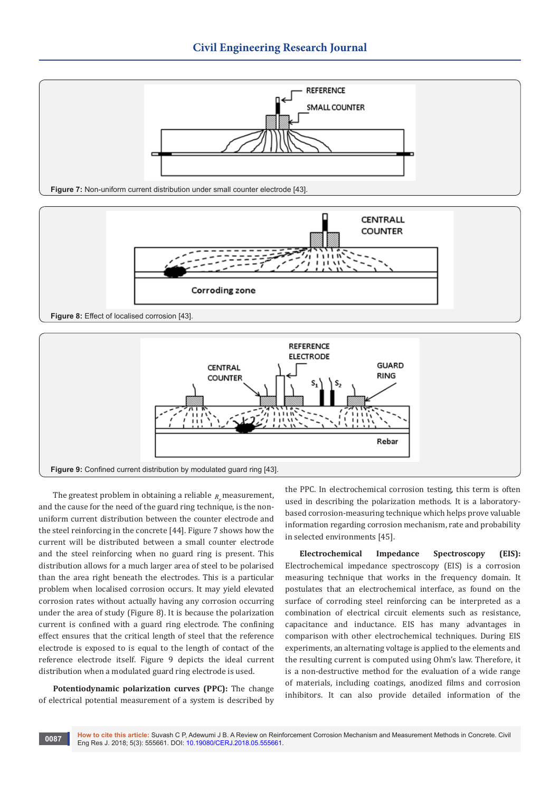



**Figure 8:** Effect of localised corrosion [43].



The greatest problem in obtaining a reliable  $R_{\perp}$  measurement, and the cause for the need of the guard ring technique, is the nonuniform current distribution between the counter electrode and the steel reinforcing in the concrete [44]. Figure 7 shows how the current will be distributed between a small counter electrode and the steel reinforcing when no guard ring is present. This distribution allows for a much larger area of steel to be polarised than the area right beneath the electrodes. This is a particular problem when localised corrosion occurs. It may yield elevated corrosion rates without actually having any corrosion occurring under the area of study (Figure 8). It is because the polarization current is confined with a guard ring electrode. The confining effect ensures that the critical length of steel that the reference electrode is exposed to is equal to the length of contact of the reference electrode itself. Figure 9 depicts the ideal current distribution when a modulated guard ring electrode is used.

**Potentiodynamic polarization curves (PPC):** The change of electrical potential measurement of a system is described by

the PPC. In electrochemical corrosion testing, this term is often used in describing the polarization methods. It is a laboratorybased corrosion-measuring technique which helps prove valuable information regarding corrosion mechanism, rate and probability in selected environments [45].

**Electrochemical Impedance Spectroscopy (EIS):**  Electrochemical impedance spectroscopy (EIS) is a corrosion measuring technique that works in the frequency domain. It postulates that an electrochemical interface, as found on the surface of corroding steel reinforcing can be interpreted as a combination of electrical circuit elements such as resistance, capacitance and inductance. EIS has many advantages in comparison with other electrochemical techniques. During EIS experiments, an alternating voltage is applied to the elements and the resulting current is computed using Ohm's law. Therefore, it is a non-destructive method for the evaluation of a wide range of materials, including coatings, anodized films and corrosion inhibitors. It can also provide detailed information of the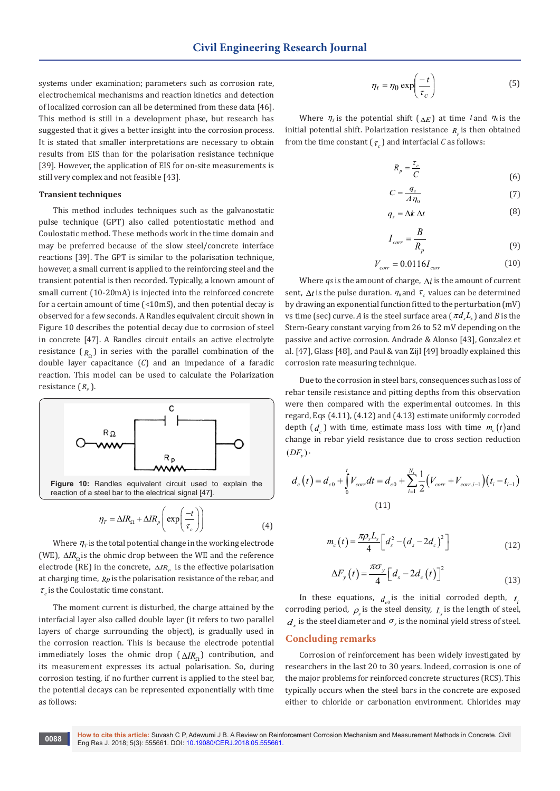systems under examination; parameters such as corrosion rate, electrochemical mechanisms and reaction kinetics and detection of localized corrosion can all be determined from these data [46]. This method is still in a development phase, but research has suggested that it gives a better insight into the corrosion process. It is stated that smaller interpretations are necessary to obtain results from EIS than for the polarisation resistance technique [39]. However, the application of EIS for on-site measurements is still very complex and not feasible [43].

#### **Transient techniques**

This method includes techniques such as the galvanostatic pulse technique (GPT) also called potentiostatic method and Coulostatic method. These methods work in the time domain and may be preferred because of the slow steel/concrete interface reactions [39]. The GPT is similar to the polarisation technique, however, a small current is applied to the reinforcing steel and the transient potential is then recorded. Typically, a known amount of small current (10-20mA) is injected into the reinforced concrete for a certain amount of time (<10mS), and then potential decay is observed for a few seconds. A Randles equivalent circuit shown in Figure 10 describes the potential decay due to corrosion of steel in concrete [47]. A Randles circuit entails an active electrolyte resistance  $(R_0)$  in series with the parallel combination of the double layer capacitance (*C*) and an impedance of a faradic reaction. This model can be used to calculate the Polarization resistance  $(R_n)$ .



Where  $\eta$ <sub>*T*</sub> is the total potential change in the working electrode (WE), ΔIR<sub>Ω</sub> is the ohmic drop between the WE and the reference electrode (RE) in the concrete,  $\Delta IR$ <sub>*i*</sub> is the effective polarisation at charging time, *Rp* is the polarisation resistance of the rebar, and  $\tau_c$  is the Coulostatic time constant.

The moment current is disturbed, the charge attained by the interfacial layer also called double layer (it refers to two parallel layers of charge surrounding the object), is gradually used in the corrosion reaction. This is because the electrode potential immediately loses the ohmic drop ( $ΔIR<sub>o</sub>$ ) contribution, and its measurement expresses its actual polarisation. So, during corrosion testing, if no further current is applied to the steel bar, the potential decays can be represented exponentially with time as follows:

$$
\eta_t = \eta_0 \exp\left(\frac{-t}{\tau_c}\right) \tag{5}
$$

Where  $\eta$ <sup>r</sup> is the potential shift ( $\Delta E$ ) at time <sup>t</sup> and  $\eta$ <sup>0</sup> is the initial potential shift. Polarization resistance  $R_n$  is then obtained from the time constant  $(\tau_{\alpha})$  and interfacial *C* as follows:

$$
R_p = \frac{\tau_c}{C} \tag{6}
$$

$$
C = \frac{q_s}{A\,\eta_0} \tag{7}
$$

$$
q_s = \Delta \dot{\mathbf{x}} \, \Delta t \tag{8}
$$

$$
I_{corr} = \frac{B}{R_p} \tag{9}
$$

$$
V_{corr} = 0.0116 I_{corr} \tag{10}
$$

Where *qs* is the amount of charge, ∆*i* is the amount of current sent,  $\Delta t$  is the pulse duration.  $\eta_0$  and  $\tau_c$  values can be determined by drawing an exponential function fitted to the perturbation (mV) vs time (sec) curve. *A* is the steel surface area ( $\pi d L$ ) and *B* is the Stern-Geary constant varying from 26 to 52 mV depending on the passive and active corrosion. Andrade & Alonso [43], Gonzalez et al. [47], Glass [48], and Paul & van Zijl [49] broadly explained this corrosion rate measuring technique.

Due to the corrosion in steel bars, consequences such as loss of rebar tensile resistance and pitting depths from this observation were then compared with the experimental outcomes. In this regard, Eqs (4.11), (4.12) and (4.13) estimate uniformly corroded depth  $(d_1)$  with time, estimate mass loss with time  $m_c(t)$  and change in rebar yield resistance due to cross section reduction  $(DF_v)$ 

$$
d_c(t) = d_{c0} + \int_0^t V_{corr} dt = d_{c0} + \sum_{i=1}^{N_t} \frac{1}{2} (V_{corr} + V_{corr,i-1})(t_i - t_{i-1})
$$
\n(11)

$$
m_c(t) = \frac{\pi \rho_s L_s}{4} \left[ d_s^2 - \left( d_s - 2 d_c \right)^2 \right] \tag{12}
$$

$$
\Delta F_{y}\left(t\right) = \frac{\pi \sigma_{y}}{4} \left[d_{s} - 2d_{c}\left(t\right)\right]^{2} \tag{13}
$$

In these equations,  $d_{c0}$  is the initial corroded depth,  $t_i$ corroding period,  $\rho$ <sub>s</sub> is the steel density,  $L_s$  is the length of steel,  $d_{\mu}$  is the steel diameter and  $\sigma_{\nu}$  is the nominal yield stress of steel.

#### **Concluding remarks**

Corrosion of reinforcement has been widely investigated by researchers in the last 20 to 30 years. Indeed, corrosion is one of the major problems for reinforced concrete structures (RCS). This typically occurs when the steel bars in the concrete are exposed either to chloride or carbonation environment. Chlorides may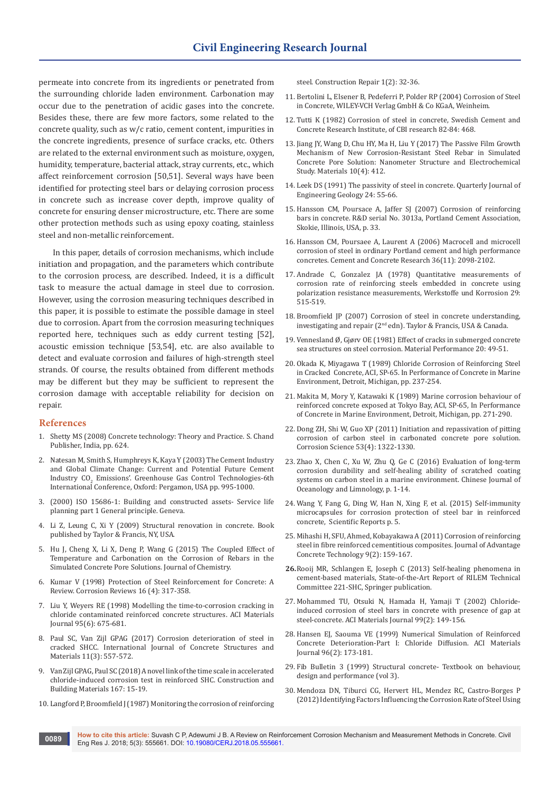permeate into concrete from its ingredients or penetrated from the surrounding chloride laden environment. Carbonation may occur due to the penetration of acidic gases into the concrete. Besides these, there are few more factors, some related to the concrete quality, such as w/c ratio, cement content, impurities in the concrete ingredients, presence of surface cracks, etc. Others are related to the external environment such as moisture, oxygen, humidity, temperature, bacterial attack, stray currents, etc., which affect reinforcement corrosion [50,51]. Several ways have been identified for protecting steel bars or delaying corrosion process in concrete such as increase cover depth, improve quality of concrete for ensuring denser microstructure, etc. There are some other protection methods such as using epoxy coating, stainless steel and non-metallic reinforcement.

In this paper, details of corrosion mechanisms, which include initiation and propagation, and the parameters which contribute to the corrosion process, are described. Indeed, it is a difficult task to measure the actual damage in steel due to corrosion. However, using the corrosion measuring techniques described in this paper, it is possible to estimate the possible damage in steel due to corrosion. Apart from the corrosion measuring techniques reported here, techniques such as eddy current testing [52], acoustic emission technique [53,54], etc. are also available to detect and evaluate corrosion and failures of high-strength steel strands. Of course, the results obtained from different methods may be different but they may be sufficient to represent the corrosion damage with acceptable reliability for decision on repair.

#### **References**

- 1. Shetty MS (2008) Concrete technology: Theory and Practice. S. Chand Publisher, India, pp. 624.
- 2. [Natesan M, Smith S, Humphreys K, Kaya Y \(2003\) The Cement Industry](https://www.sciencedirect.com/science/article/pii/B9780080442761501574)  [and Global Climate Change: Current and Potential Future Cement](https://www.sciencedirect.com/science/article/pii/B9780080442761501574)  Industry CO<sub>2</sub> Emissions'. Greenhouse Gas Control Technologies-6th [International Conference, Oxford: Pergamon, USA pp. 995-1000.](https://www.sciencedirect.com/science/article/pii/B9780080442761501574)
- 3. [\(2000\) ISO 15686-1: Building and constructed assets- Service life](https://www.sis.se/api/document/preview/616894/)  [planning part 1 General principle. Geneva.](https://www.sis.se/api/document/preview/616894/)
- 4. [Li Z, Leung C, Xi Y \(2009\) Structural renovation in concrete. Book](https://epdf.tips/structural-renovation-in-concrete.html)  [published by Taylor & Francis, NY, USA.](https://epdf.tips/structural-renovation-in-concrete.html)
- 5. [Hu J, Cheng X, Li X, Deng P, Wang G \(2015\) The Coupled Effect of](https://www.hindawi.com/journals/jchem/2015/462605/)  [Temperature and Carbonation on the Corrosion of Rebars in the](https://www.hindawi.com/journals/jchem/2015/462605/)  [Simulated Concrete Pore Solutions. Journal of Chemistry.](https://www.hindawi.com/journals/jchem/2015/462605/)
- 6. Kumar V (1998) Protection of Steel Reinforcement for Concrete: A Review. Corrosion Reviews 16 (4): 317-358.
- 7. [Liu Y, Weyers RE \(1998\) Modelling the time-to-corrosion cracking in](https://www.concrete.org/publications/internationalconcreteabstractsportal.aspx?m=details&ID=410)  [chloride contaminated reinforced concrete structures. ACI Materials](https://www.concrete.org/publications/internationalconcreteabstractsportal.aspx?m=details&ID=410)  [Journal 95\(6\): 675-681.](https://www.concrete.org/publications/internationalconcreteabstractsportal.aspx?m=details&ID=410)
- 8. [Paul SC, Van Zijl GPAG \(2017\) Corrosion deterioration of steel in](https://link.springer.com/article/10.1007/s40069-017-0205-8)  [cracked SHCC. International Journal of Concrete Structures and](https://link.springer.com/article/10.1007/s40069-017-0205-8)  [Materials 11\(3\): 557-572.](https://link.springer.com/article/10.1007/s40069-017-0205-8)
- 9. Van Zijl GPAG, Paul SC (2018) A novel link of the time scale in accelerated chloride-induced corrosion test in reinforced SHC. Construction and Building Materials 167: 15-19.
- 10. [Langford P, Broomfield J \(1987\) Monitoring the corrosion of reinforcing](https://trid.trb.org/view/294739)

[steel. Construction Repair 1\(2\): 32-36.](https://trid.trb.org/view/294739)

- 11. Bertolini L, Elsener B, Pedeferri P, Polder RP (2004) Corrosion of Steel in Concrete, WILEY-VCH Verlag GmbH & Co KGaA, Weinheim.
- 12. [Tutti K \(1982\) Corrosion of steel in concrete, Swedish Cement and](https://lucris.lub.lu.se/ws/files/4709458/3173290.pdf)  [Concrete Research Institute, of CBI research 82-84: 468.](https://lucris.lub.lu.se/ws/files/4709458/3173290.pdf)
- 13. [Jiang JY, Wang D, Chu HY, Ma H, Liu Y \(2017\) The Passive Film Growth](https://www.ncbi.nlm.nih.gov/pubmed/28772772)  [Mechanism of New Corrosion-Resistant Steel Rebar in Simulated](https://www.ncbi.nlm.nih.gov/pubmed/28772772)  [Concrete Pore Solution: Nanometer Structure and Electrochemical](https://www.ncbi.nlm.nih.gov/pubmed/28772772)  [Study. Materials 10\(4\): 412.](https://www.ncbi.nlm.nih.gov/pubmed/28772772)
- 14. [Leek DS \(1991\) The passivity of steel in concrete. Quarterly Journal of](http://qjegh.lyellcollection.org/content/24/1/55.full)  [Engineering Geology 24: 55-66.](http://qjegh.lyellcollection.org/content/24/1/55.full)
- 15. Hansson CM, Poursace A, Jaffer SJ (2007) Corrosion of reinforcing bars in concrete. R&D serial No. 3013a, Portland Cement Association, Skokie, Illinois, USA, p. 33.
- 16. [Hansson CM, Poursaee A, Laurent A \(2006\) Macrocell and microcell](https://www.sciencedirect.com/science/article/pii/S000888460600192X)  [corrosion of steel in ordinary Portland cement and high performance](https://www.sciencedirect.com/science/article/pii/S000888460600192X)  [concretes. Cement and Concrete Research 36\(11\): 2098-2102.](https://www.sciencedirect.com/science/article/pii/S000888460600192X)
- 17. [Andrade C, Gonzalez JA \(1978\) Quantitative measurements of](https://onlinelibrary.wiley.com/doi/abs/10.1002/maco.19780290804)  [corrosion rate of reinforcing steels embedded in concrete using](https://onlinelibrary.wiley.com/doi/abs/10.1002/maco.19780290804)  [polarization resistance measurements, Werkstoffe und Korrosion 29:](https://onlinelibrary.wiley.com/doi/abs/10.1002/maco.19780290804)  [515-519.](https://onlinelibrary.wiley.com/doi/abs/10.1002/maco.19780290804)
- 18. Broomfield JP (2007) Corrosion of steel in concrete understanding, investigating and repair (2nd edn). Taylor & Francis, USA & Canada.
- 19. Vennesland Ø, Gjørv OE (1981) Effect of cracks in submerged concrete sea structures on steel corrosion. Material Performance 20: 49-51.
- 20. Okada K, Miyagawa T (1989) Chloride Corrosion of Reinforcing Steel in Cracked Concrete, ACI, SP-65. In Performance of Concrete in Marine Environment, Detroit, Michigan, pp. 237-254.
- 21. Makita M, Mory Y, Katawaki K (1989) Marine corrosion behaviour of reinforced concrete exposed at Tokyo Bay, ACI, SP-65, In Performance of Concrete in Marine Environment, Detroit, Michigan, pp. 271-290.
- 22. Dong ZH, Shi W, Guo XP (2011) Initiation and repassivation of pitting corrosion of carbon steel in carbonated concrete pore solution. Corrosion Science 53(4): 1322-1330.
- 23. Zhao X, Chen C, Xu W, Zhu Q, Ge C (2016) Evaluation of long-term corrosion durability and self-healing ability of scratched coating systems on carbon steel in a marine environment. [Chinese Journal of](http://link.springer.com/journal/343)  [Oceanology and Limnology](http://link.springer.com/journal/343), p. 1-14.
- 24. [Wang Y, Fang G, Ding W, Han N, Xing F, et al. \(2015\) Self-immunity](https://www.nature.com/articles/srep18484)  [microcapsules for corrosion protection of steel bar in reinforced](https://www.nature.com/articles/srep18484)  [concrete, Scientific Reports p. 5.](https://www.nature.com/articles/srep18484)
- 25. [Mihashi H, SFU, Ahmed, Kobayakawa A \(2011\) Corrosion of reinforcing](https://www.jstage.jst.go.jp/article/jact/9/2/9_2_159/_article/-char/ja)  [steel in fibre reinforced cementitious composites. Journal of Advantage](https://www.jstage.jst.go.jp/article/jact/9/2/9_2_159/_article/-char/ja)  [Concrete Technology 9\(2\): 159-167.](https://www.jstage.jst.go.jp/article/jact/9/2/9_2_159/_article/-char/ja)
- **26.**[Rooij MR, Schlangen E, Joseph C \(2013\) Self-healing phenomena in](https://www.springer.com/in/book/9789400766235)  [cement-based materials, State-of-the-Art Report of RILEM Technical](https://www.springer.com/in/book/9789400766235)  [Committee 221-SHC, Springer publication.](https://www.springer.com/in/book/9789400766235)
- 27. Mohammed TU, Otsuki N, Hamada H, Yamaji T (2002) Chlorideinduced corrosion of steel bars in concrete with presence of gap at steel-concrete. ACI Materials Journal 99(2): 149-156.
- 28. [Hansen EJ, Saouma VE \(1999\) Numerical Simulation of Reinforced](https://www.concrete.org/publications/internationalconcreteabstractsportal/m/details/id/442)  [Concrete Deterioration-Part I: Chloride Diffusion. ACI Materials](https://www.concrete.org/publications/internationalconcreteabstractsportal/m/details/id/442)  [Journal 96\(2\): 173-181.](https://www.concrete.org/publications/internationalconcreteabstractsportal/m/details/id/442)
- 29. Fib Bulletin 3 (1999) Structural concrete- Textbook on behaviour, design and performance (vol 3).
- 30. [Mendoza DN, Tiburci CG, Hervert HL, Mendez RC, Castro-Borges P](http://93.39.235.160/Web_1/database_locale/mediateca/CEB-FIP_MODELCODE1999.pdf)  [\(2012\) Identifying Factors Influencing the Corrosion Rate of Steel Using](http://93.39.235.160/Web_1/database_locale/mediateca/CEB-FIP_MODELCODE1999.pdf)

**How to cite this article:** Suvash C P, Adewumi J B. A Review on Reinforcement Corrosion Mechanism and Measurement Methods in Concrete. Civil Eng Res J. 2018; 5(3): 555661. DOI: [10.19080/CERJ.2018.05.555661.](http://dx.doi.org/10.19080/CERJ.2018.05.555661) **<sup>0089</sup>**